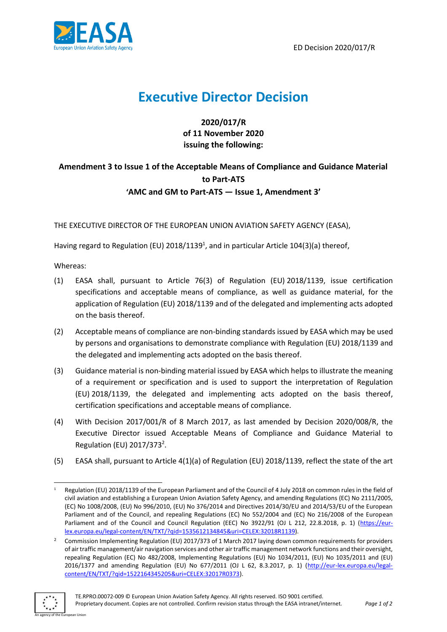

# **Executive Director Decision**

**2020/017/R of 11 November 2020 issuing the following:**

## **Amendment 3 to Issue 1 of the Acceptable Means of Compliance and Guidance Material to Part-ATS 'AMC and GM to Part-ATS — Issue 1, Amendment 3'**

THE EXECUTIVE DIRECTOR OF THE EUROPEAN UNION AVIATION SAFETY AGENCY (EASA),

Having regard to Regulation (EU) 2018/1139<sup>1</sup>, and in particular Article 104(3)(a) thereof,

Whereas:

- (1) EASA shall, pursuant to Article 76(3) of Regulation (EU) 2018/1139, issue certification specifications and acceptable means of compliance, as well as guidance material, for the application of Regulation (EU) 2018/1139 and of the delegated and implementing acts adopted on the basis thereof.
- (2) Acceptable means of compliance are non-binding standards issued by EASA which may be used by persons and organisations to demonstrate compliance with Regulation (EU) 2018/1139 and the delegated and implementing acts adopted on the basis thereof.
- (3) Guidance material is non-binding material issued by EASA which helps to illustrate the meaning of a requirement or specification and is used to support the interpretation of Regulation (EU) 2018/1139, the delegated and implementing acts adopted on the basis thereof, certification specifications and acceptable means of compliance.
- (4) With Decision 2017/001/R of 8 March 2017, as last amended by Decision 2020/008/R, the Executive Director issued Acceptable Means of Compliance and Guidance Material to Regulation (EU)  $2017/373^2$ .
- (5) EASA shall, pursuant to Article 4(1)(a) of Regulation (EU) 2018/1139, reflect the state of the art

<sup>&</sup>lt;sup>2</sup> Commission Implementing Regulation (EU) 2017/373 of 1 March 2017 laying down common requirements for providers of air traffic management/air navigation services and other air traffic management network functions and their oversight, repealing Regulation (EC) No 482/2008, Implementing Regulations (EU) No 1034/2011, (EU) No 1035/2011 and (EU) 2016/1377 and amending Regulation (EU) No 677/2011 (OJ L 62, 8.3.2017, p. 1) [\(http://eur-lex.europa.eu/legal](http://eur-lex.europa.eu/legal-content/EN/TXT/?qid=1522164345205&uri=CELEX:32017R0373)[content/EN/TXT/?qid=1522164345205&uri=CELEX:32017R0373\)](http://eur-lex.europa.eu/legal-content/EN/TXT/?qid=1522164345205&uri=CELEX:32017R0373).



<sup>1</sup> Regulation (EU) 2018/1139 of the European Parliament and of the Council of 4 July 2018 on common rules in the field of civil aviation and establishing a European Union Aviation Safety Agency, and amending Regulations (EC) No 2111/2005, (EC) No 1008/2008, (EU) No 996/2010, (EU) No 376/2014 and Directives 2014/30/EU and 2014/53/EU of the European Parliament and of the Council, and repealing Regulations (EC) No 552/2004 and (EC) No 216/2008 of the European Parliament and of the Council and Council Regulation (EEC) No 3922/91 (OJ L 212, 22.8.2018, p. 1) [\(https://eur](https://eur-lex.europa.eu/legal-content/EN/TXT/?qid=1535612134845&uri=CELEX:32018R1139)[lex.europa.eu/legal-content/EN/TXT/?qid=1535612134845&uri=CELEX:32018R1139\)](https://eur-lex.europa.eu/legal-content/EN/TXT/?qid=1535612134845&uri=CELEX:32018R1139).